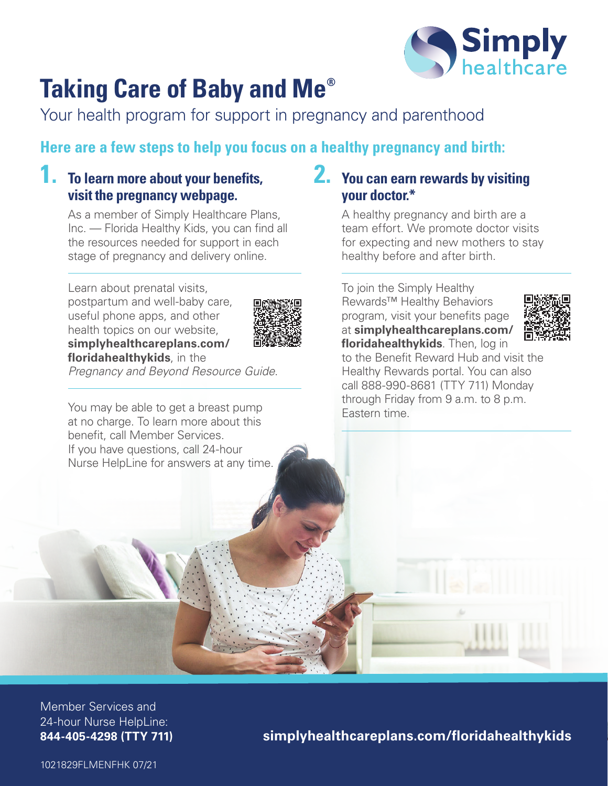

### **Taking Care of Baby and Me®**

Your health program for support in pregnancy and parenthood

### **Here are a few steps to help you focus on a healthy pregnancy and birth:**

#### **1. To learn more about your benefits, visit the pregnancy webpage.**

As a member of Simply Healthcare Plans, Inc. — Florida Healthy Kids, you can find all the resources needed for support in each stage of pregnancy and delivery online.

Learn about prenatal visits, postpartum and well-baby care, useful phone apps, and other health topics on our website, **[simplyhealthcareplans.com/](http://simplyhealthcareplans.com/floridahealthykids)  [floridahealthykids](http://simplyhealthcareplans.com/floridahealthykids)**, in the



*Pregnancy and Beyond Resource Guide*.

You may be able to get a breast pump at no charge. To learn more about this benefit, call Member Services. If you have questions, call 24-hour Nurse HelpLine for answers at any time.

#### **2. You can earn rewards by visiting your doctor.\***

A healthy pregnancy and birth are a team effort. We promote doctor visits for expecting and new mothers to stay healthy before and after birth.

To join the Simply Healthy Rewards™ Healthy Behaviors program, visit your benefits page at **[simplyhealthcareplans.com/](http://simplyhealthcareplans.com/floridahealthykids)  [floridahealthykids](http://simplyhealthcareplans.com/floridahealthykids)**. Then, log in



to the Benefit Reward Hub and visit the Healthy Rewards portal. You can also call 888-990-8681 (TTY 711) Monday through Friday from 9 a.m. to 8 p.m. Eastern time.

844-405-4298 (TTY 711) Member Services and 24-hour Nurse HelpLine:

 $simply health care plans.com/floridahealthykids$